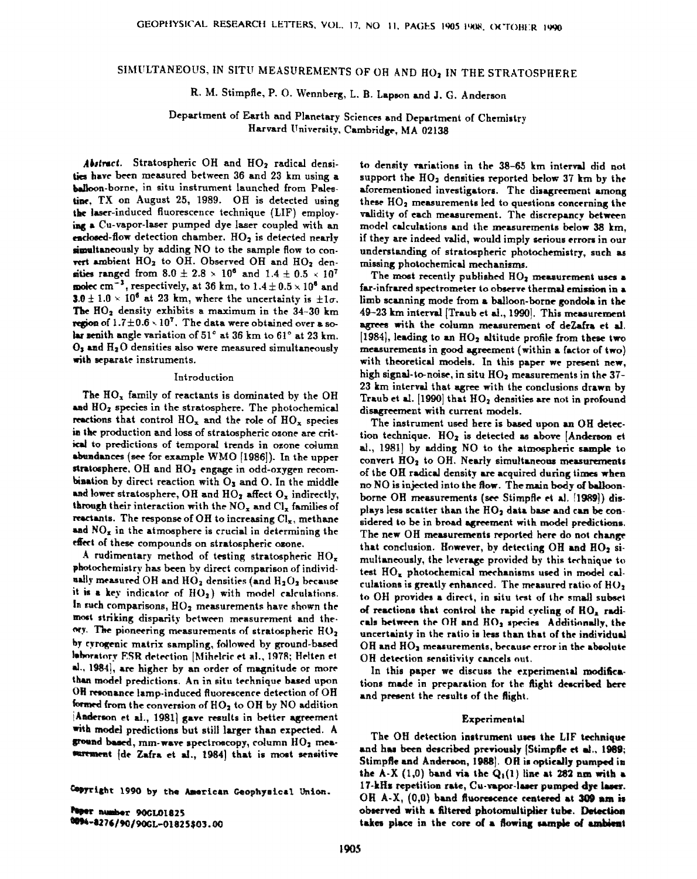# SIMULTANEOUS, IN SITU MEASUREMENTS OF OH AND HO<sub>2</sub> IN THE STRATOSPHERE

R. M. Stimpfle, P. O. Wennberg, L. B. Lapson and J. G. Anderson

Department of Earth and Planetary Sciences and Department of Chemistry Harvard University, Cambridge, MA 02138

Abstract. Stratospheric OH and HO<sub>2</sub> radical densities have been measured between 36 and 23 km using a balloon-borne, in situ instrument launched from Palestine, TX on August 25, 1989. OH is detected using the laser-induced fluorescence technique (LIF) employing a Cu-vapor-laser pumped dye laser coupled with an enclosed-flow detection chamber.  $HO<sub>2</sub>$  is detected nearly simultaneously by adding NO to the sample flow to convert ambient HO<sub>2</sub> to OH. Observed OH and HO<sub>2</sub> densities ranged from  $8.0 \pm 2.8 \times 10^6$  and  $1.4 \pm 0.5 \times 10^7$ molec cm<sup>-3</sup>, respectively, at 36 km, to  $1.4 \pm 0.5 \times 10^8$  and 3.0 ± 1.0 × 10<sup>6</sup> at 23 km, where the uncertainty is  $\pm 1\sigma$ . The HO<sub>2</sub> density exhibits a maximum in the 34-30 km region of  $1.7 \pm 0.6 \times 10^7$ . The data were obtained over a solar senith angle variation of 51° at 36 km to 61° at 23 km.  $O_3$  and  $H_2O$  densities also were measured simultaneously with separate instruments.

#### Introduction

The  $HO_x$  family of reactants is dominated by the OH and HO<sub>2</sub> species in the stratosphere. The photochemical reactions that control  $HO_x$  and the role of  $HO_x$  species in the production and loss of stratospheric ozone are critical to predictions of temporal trends in ozone column abundances (see for example WMO [1986]). In the upper stratosphere, OH and HO<sub>2</sub> engage in odd-oxygen recombination by direct reaction with  $O_3$  and  $O$ . In the middle and lower stratosphere, OH and  $HO<sub>2</sub>$  affect  $O<sub>x</sub>$  indirectly, through their interaction with the  $NO_x$  and  $Cl_x$  families of reactants. The response of OH to increasing  $Cl_x$ , methane and  $NO_x$  in the atmosphere is crucial in determining the effect of these compounds on stratospheric ozone.

A rudimentary method of testing stratospheric  $HO_x$ photochemistry has been by direct comparison of individually measured OH and HO<sub>2</sub> densities (and H<sub>2</sub>O<sub>2</sub> because it is a key indicator of  $HO<sub>2</sub>$ ) with model calculations. In such comparisons, HO<sub>2</sub> measurements have shown the most striking disparity between measurement and theory. The pioneering measurements of stratospheric HO2 by cyrogenic matrix sampling, followed by ground-based laboratory ESR detection [Mihelcic et al., 1978; Helten et al., 1984), are higher by an order of magnitude or more than model predictions. An in situ technique based upon OH resonance lamp-induced fluorescence detection of OH formed from the conversion of  $HO<sub>2</sub>$  to OH by NO addition Anderson et al., 1981) gave results in better agreement with model predictions but still larger than expected. A ground based, mm-wave spectroscopy, column  $HO<sub>2</sub>$  measurement [de Zafra et al., 1984] that is most sensitive

Copyright 1990 by the American Geophysical Union.

Paper number 90GL01825 0094-8276/90/90GL-01825\$03.00 to density variations in the 38-65 km interval did not support the  $HO<sub>2</sub>$  densities reported below 37 km by the aforementioned investigators. The disagreement among these  $HO<sub>2</sub>$  measurements led to questions concerning the validity of each measurement. The discrepancy between model calculations and the measurements below 38 km, if they are indeed valid, would imply serious errors in our understanding of stratospheric photochemistry, such as missing photochemical mechanisms.

The most recently published HO<sub>2</sub> measurement uses a far-infrared spectrometer to observe thermal emission in a limb scanning mode from a balloon-borne gondola in the 49-23 km interval [Traub et al., 1990]. This measurement agrees with the column measurement of deZafra et al. [1984], leading to an  $HO<sub>2</sub>$  altitude profile from these two measurements in good agreement (within a factor of two) with theoretical models. In this paper we present new, high signal-to-noise, in situ  $HO<sub>2</sub>$  measurements in the 37-23 km interval that agree with the conclusions drawn by Traub et al. [1990] that HO<sub>2</sub> densities are not in profound disagreement with current models.

The instrument used here is based upon an OH detection technique.  $HO<sub>2</sub>$  is detected as above [Anderson et al., 1981) by adding NO to the atmospheric sample to convert HO<sub>2</sub> to OH. Nearly simultaneous measurements of the OH radical density are acquired during times when no NO is injected into the flow. The main body of balloonborne OH measurements (see Stimpfle et al. [1989]) displays less scatter than the HO<sub>2</sub> data base and can be considered to be in broad agreement with model predictions. The new OH measurements reported here do not change that conclusion. However, by detecting OH and HO<sub>2</sub> simultaneously, the leverage provided by this technique to test HO<sub>z</sub> photochemical mechanisms used in model calculations is greatly enhanced. The measured ratio of  $HO<sub>2</sub>$ to OH provides a direct, in situ test of the small subset of reactions that control the rapid cycling of HO. radicals between the OH and HO2 species Additionally, the uncertainty in the ratio is less than that of the individual OH and HO<sub>2</sub> measurements, because error in the absolute OH detection sensitivity cancels out.

In this paper we discuss the experimental modifications made in preparation for the flight described bere and present the results of the flight.

#### Experimental

The OH detection instrument uses the LIF technique and has been described previously (Stimpfle et al., 1989; Stimpfle and Anderson, 1988]. OH is optically pumped in the A-X (1,0) band via the  $Q_1(1)$  line at 282 nm with a 17-kHz repetition rate, Cu-vapor-laser pumped dye laser. OH A-X, (0,0) band fluorescence centered at 309 am is observed with a filtered photomultiplier tube. Detection takes place in the core of a flowing sample of ambient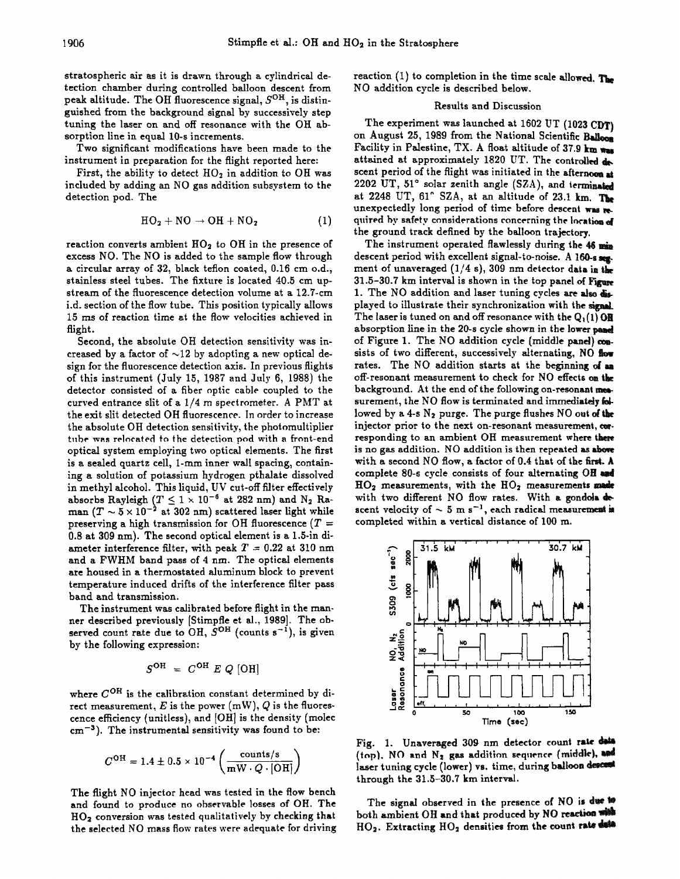**stratospheric air as it is drawn through a cylindrical detection chamber during controlled balloon descent from**  peak altitude. The OH fluorescence signal,  $S^{\text{OH}}$ , is distin**guished from the background signal by successively step tuning the laser on and off resonance with the OH absorption line in equal 10-s increments.** 

**Two significant modifications have been made to the instrument in preparation for the flight reported here:** 

First, the ability to detect HO<sub>2</sub> in addition to OH was **included by adding an NO gas addition subsystem to the detection pod. The** 

$$
HO_2 + NO \rightarrow OH + NO_2 \tag{1}
$$

reaction converts ambient  $HO<sub>2</sub>$  to OH in the presence of **excess NO. The NO is added to the sample flow through a circular array of 32, black teflon coated, 0.16 cm o.d., stainless steel tubes. The fixture is located 40.5 cm upstream of the fluorescence detection volume at a 12.7-cm i.d. section of the flow tube. This position typically allows 15 ms of reaction time at the flow velocities achieved in flight.** 

**Second, the absolute OH detection sensitivity was in**creased by a factor of  $\sim$ 12 by adopting a new optical de**sign for the fluorescence detection axis. In previous flights of this instrument (July 15, 1987 and July 6, 1988) the detector consisted of a fiber optic cable coupled to the curved entrance slit of a 1/4 m spectrometer. A PMT at the exit slit detected OH fluorescence. In order to increase the absolute OH detection sensitivity, the photomultiplier tube was relocated to the detection pod with a front-end optical system employing two optical elements. The first is a sealed quartz cell, l-ram inner wall spacing, containing a solution of potassium hydrogen pthalate dissolved in methyl alcohol. This liquid, UV cut-off filter effectively**  absorbs Rayleigh  $(T \leq 1 \times 10^{-9}$  at 282 nm) and N<sub>2</sub> Raman  $(T \sim 5 \times 10^{-2}$  at 302 nm) scattered laser light while **preserving a high transmission for OH fluorescence (T = 0.8 at 309 nm). The second optical element is a 1.5-in diameter interference filter, with peak**  $T = 0.22$  **at 310 nm and a FWHM band pass of 4 nm. The optical elements are housed in a thermosrated aluminum block to prevent temperature induced drifts of the interference filter pass band and transmission.** 

**The instrument was calibrated before flight in the manner described previously [Stimpfle et al., 1989]. The ob**served count rate due to OH,  $S^{OH}$  (counts  $s^{-1}$ ), is given **by the following expression:** 

$$
S^{\text{OH}} = C^{\text{OH}} E Q \text{ [OH]}
$$

where  $C^{OH}$  is the calibration constant determined by direct measurement,  $E$  is the power  $(mW)$ ,  $Q$  is the fluorescence efficiency (unitless), and [OH] is the density (molec **cm-a). The instrumental sensitivity was found to be:** 

$$
C^{\rm OH} = 1.4 \pm 0.5 \times 10^{-4} \left( \frac{\text{counts/s}}{\text{mW} \cdot Q \cdot [\rm OH]} \right)
$$

**The flight NO injector head was tested in the flow bench**  and found to produce no observable losses of OH. The HO<sub>2</sub> conversion was tested qualitatively by checking that **the selected NO mass flow rates were adequate for driving**  **reaction (1) to completion in the time scale NO addition cycle is described below.** 

## **Results and Discussion**

**The experiment was launched at 1602 UT (1023 CDT} on August 25, 1989 from the National Scientific Facility in Palestine, TX. A float altitude of 37.9 km**  attained at approximately 1820 UT. The controlled  $\mathbf{d}$ scent period of the flight was initiated in the afternoon at 2202 UT, 51° solar zenith angle (SZA), and ierminated at 2248 UT, 61° SZA, at an altitude of 23.1 km. The unexpectedly long period of time before descent was me. quired by safety considerations concerning the location of **the ground track defined by the balloon trajectory,** 

**The instrument operated flawlessly during the 46 descent period with excellent signal-to-noise. A ment of unaveraged (1/4 s), 309 nm detector data in 31.5-30.7 km interval is shown in the top panel of**  1. The NO addition and laser tuning cycles are also dis**played to illustrate their synchronization with the**  The laser is tuned on and off resonance with the Q<sub>1</sub>(1) **QR absorption line in the 20-s cycle shown in the lower of Figure !. The NO addition cycle (middle panel} sists of two different, successively alternating, NO**  rates. The NO addition starts at the beginning of an **off-resonant measurement to check for NO effects on background. At the end of the following on-resonant mea**surement, the NO flow is terminated and immediately followed by a 4-s N<sub>2</sub> purge. The purge flushes NO out of the **injector prior to the next on-resonant measurement, responding to an ambient OH measurement where is no gas addition. NO addition is then repeated as**  with a second NO flow, a factor of 0.4 that of the first. A **complete 80-s cycle consists of four alternating OH**   $HO<sub>2</sub>$  measurements, with the  $HO<sub>2</sub>$  measurements made **with two different NO flow rates. With a gondda**  scent velocity of  $\sim$  5 m s<sup>-1</sup>, each radical measurement is **completed within a vertical distance of 100 m.** 



Fig. 1. Unaveraged 309 nm detector count rate data (top). NO and N<sub>2</sub> gas addition sequence (middle), and **laser tuning cycle (lower) rs. time, during balloon through the 3!.5-30.7 km interval.** 

The signal observed in the presence of NO is due to both ambient OH and that produced by NO reaction HO<sub>2</sub>. Extracting HO<sub>2</sub> densities from the count rate date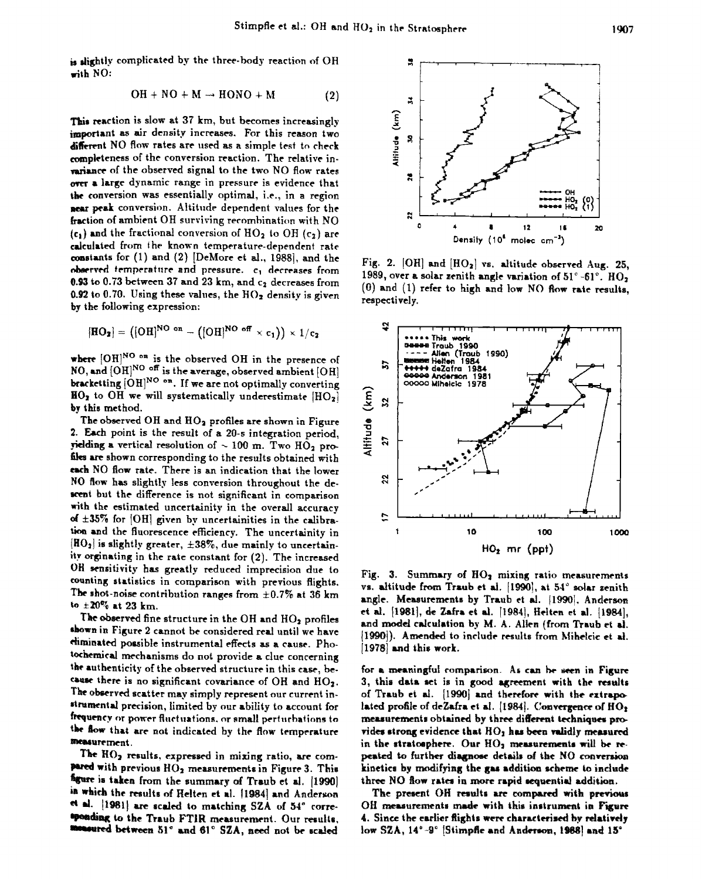is slightly complicated by the three-body reaction of OH with NO:

$$
OH + NO + M \rightarrow HONO + M \tag{2}
$$

This reaction is slow at 37 km, but becomes increasingly important as air density increases. For this reason two different NO flow rates are used as a simple test to check completeness of the conversion reaction. The relative invariance of the observed signal to the two NO flow rates over a large dynamic range in pressure is evidence that the conversion was essentially optimal, i.e., in a region near peak conversion. Altitude dependent values for the fraction of ambient OH surviving recombination with NO  $(c_1)$  and the fractional conversion of HO<sub>2</sub> to OH  $(c_2)$  are calculated from the known temperature-dependent rate constants for (1) and (2) [DeMore et al., 1988], and the observed temperature and pressure. c<sub>1</sub> decreases from 0.93 to 0.73 between 37 and 23 km, and c<sub>2</sub> decreases from 0.92 to 0.70. Using these values, the  $HO<sub>2</sub>$  density is given by the following expression:

$$
[\mathrm{HO}_2] = ([\mathrm{OH}]^{\mathrm{NO-on}} - ([\mathrm{OH}]^{\mathrm{NO-off}} \times \mathrm{c}_1)) \times 1/\mathrm{c}_2
$$

where  $[OH]^{NO}$  on is the observed OH in the presence of NO, and  $[OH]^{NO}$  off is the average, observed ambient  $[OH]$ bracketting [OH]<sup>NO</sup> on. If we are not optimally converting  $HO<sub>2</sub>$  to OH we will systematically underestimate  $[HO<sub>2</sub>]$ by this method.

The observed OH and HO<sub>2</sub> profiles are shown in Figure 2. Each point is the result of a 20-s integration period, yielding a vertical resolution of  $\sim 100$  m. Two HO<sub>2</sub> profiles are shown corresponding to the results obtained with each NO flow rate. There is an indication that the lower NO flow has slightly less conversion throughout the descent but the difference is not significant in comparison with the estimated uncertainity in the overall accuracy of  $\pm 35\%$  for [OH] given by uncertainities in the calibration and the fluorescence efficiency. The uncertainity in  $[HO_2]$  is slightly greater,  $\pm 38\%$ , due mainly to uncertainity orginating in the rate constant for (2). The increased OH sensitivity has greatly reduced imprecision due to counting statistics in comparison with previous flights. The shot-noise contribution ranges from  $\pm 0.7\%$  at 36 km to  $\pm 20\%$  at 23 km.

The observed fine structure in the OH and HO<sub>2</sub> profiles shown in Figure 2 cannot be considered real until we have eliminated possible instrumental effects as a cause. Photochemical mechanisms do not provide a clue concerning the authenticity of the observed structure in this case, because there is no significant covariance of OH and HO<sub>2</sub>. The observed scatter may simply represent our current instrumental precision, limited by our ability to account for frequency or power fluctuations, or small perturbations to the flow that are not indicated by the flow temperature measurement.

The HO<sub>2</sub> results, expressed in mixing ratio, are compared with previous HO<sub>2</sub> measurements in Figure 3. This figure is taken from the summary of Traub et al. [1990] in which the results of Helten et al. [1984] and Anderson et al. [1981] are scaled to matching SZA of 54° corresponding to the Traub FTIR measurement. Our results, monoured between 51° and 61° SZA, need not be scaled



Fig. 2. [OH] and [HO2] vs. altitude observed Aug. 25, 1989, over a solar zenith angle variation of 51°-61°. HO, (0) and (1) refer to high and low NO flow rate results, respectively.



Fig. 3. Summary of  $HO<sub>2</sub>$  mixing ratio measurements vs. altitude from Traub et al. [1990], at 54° solar zenith angle. Measurements by Traub et al. [1990]. Anderson et al. [1981], de Zafra et al. [1984], Helten et al. [1984], and model calculation by M. A. Allen (from Traub et al. [1990]). Amended to include results from Mihelcic et al. [1978] and this work.

for a meaningful comparison. As can be seen in Figure 3, this data set is in good agreement with the results of Traub et al. [1990] and therefore with the extrapolated profile of deZafra et al. [1984]. Convergence of  $HO<sub>2</sub>$ measurements obtained by three different techniques provides strong evidence that  $HO<sub>2</sub>$  has been validly measured in the stratosphere. Our HO<sub>2</sub> measurements will be repeated to further diagnose details of the NO conversion kinetics by modifying the gas addition scheme to include three NO flow rates in more rapid sequential addition.

The present OH results are compared with previous OH measurements made with this instrument in Figure 4. Since the earlier flights were characterized by relatively low SZA, 14°-9° [Stimpfle and Anderson, 1988] and 15°